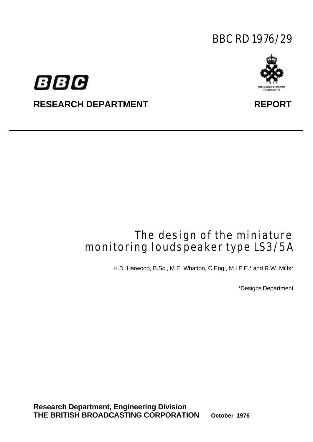# BBC RD 1976/29





# RESEARCH DEPARTMENT **REPORT**

# The design of the miniature monitoring loudspeaker type LS3/5A

H.D. Harwood, B.Sc., M.E. Whatton, C.Eng., M.I.E.E.\* and R.W. MiIIs\*

\*Designs Department

**Research Department, Engineering Division THE BRITISH BROADCASTING CORPORATION October 1976**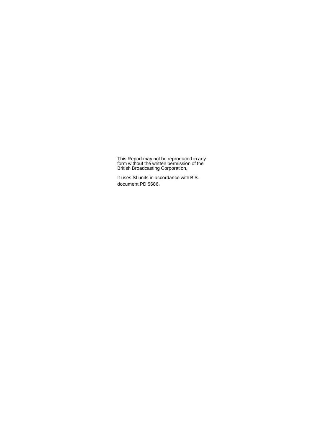This Report may not be reproduced in any form without the written permission of the British Broadcasting Corporation,

It uses SI units in accordance with B.S. document PD 5686.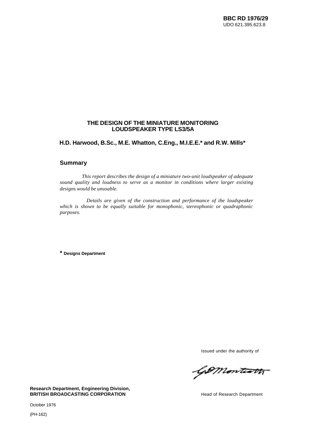#### **THE DESIGN OF THE MINIATURE MONITORING LOUDSPEAKER TYPE LS3/5A**

## **H.D. Harwood, B.Sc., M.E. Whatton, C.Eng., M.I.E.E.\* and R.W. Mills\***

#### **Summary**

*This report describes the design of a miniature two-unit loudspeaker of adequate sound quality and loudness to serve as a monitor in conditions where larger existing designs would be unusable.*

*Details are given of the construction and performance of the loudspeaker which is shown to be equally suitable for monophonic, stereophonic or quadraphonic purposes.*

**\* Designs Department**

Issued under the authority of

Gomonteath

**Research Department, Engineering Division, BRITISH BROADCASTING CORPORATION Head of Research Department** 

October 1976

(PH-162)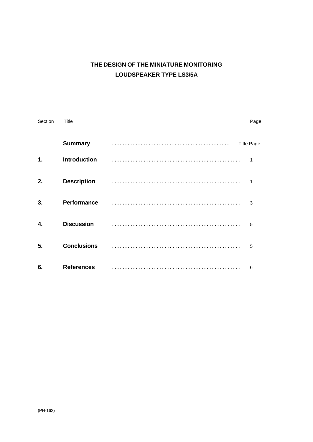# **THE DESIGN OF THE MINIATURE MONITORING LOUDSPEAKER TYPE LS3/5A**

| Section      | <b>Title</b>        |  |                   |  |  |
|--------------|---------------------|--|-------------------|--|--|
|              | <b>Summary</b>      |  | <b>Title Page</b> |  |  |
| $\mathbf{1}$ | <b>Introduction</b> |  | $\mathbf{1}$      |  |  |
| 2.           | <b>Description</b>  |  | 1                 |  |  |
| 3.           | Performance         |  | 3                 |  |  |
| 4.           | <b>Discussion</b>   |  | 5                 |  |  |
| 5.           | <b>Conclusions</b>  |  | 5                 |  |  |
| 6.           | <b>References</b>   |  | 6                 |  |  |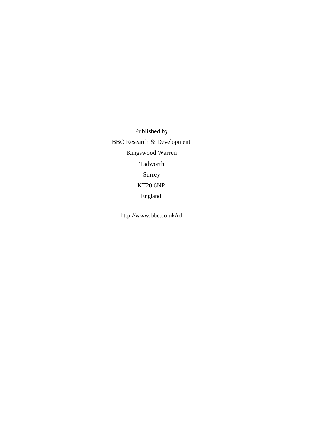Published by BBC Research & Development Kingswood Warren Tadworth Surrey KT20 6NP England

<http://www.bbc.co.uk/rd>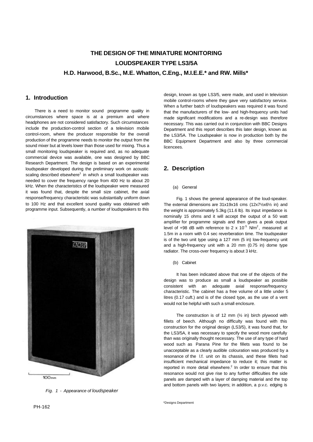# **THE DESIGN OF THE MINIATURE MONITORING LOUDSPEAKER TYPE LS3/5A H.D. Harwood, B.Sc., M.E. Whatton, C.Eng., M.I.E.E.\* and RW. Mills\***

## **1. Introduction**

There is a need to monitor sound programme quality in circumstances where space is at a premium and where headphones are not considered satisfactory. Such circumstances include the production-control section of a television mobile control-room, where the producer responsible for the overall production of the programme needs to monitor the output from the sound mixer but at levels lower than those used for mixing. Thus a small monitoring loudspeaker is required and, as no adequate commercial device was available, one was designed by BBC Research Department. The design is based on an experimental loudspeaker developed during the preliminary work on acoustic scaling described elsewhere<sup>1</sup> in which a small loudspeaker was needed to cover the frequency range from 400 Hz to about 20 kHz. When the characteristics of the loudspeaker were measured it was found that, despite the small size cabinet, the axial response/frequency characteristic was substantially uniform down to 100 Hz and that excellent sound quality was obtained with programme input. Subsequently, a number of loudspeakers to this



*Fig. 1 - Appearance of loudspeaker*

design, known as type LS3/5, were made, and used in television mobile control-rooms where they gave very satisfactory service. When a further batch of loudspeakers was required it was found that the manufacturers of the low- and high-frequency units had made significant modifications and a re-design was therefore necessary. This was carried out in conjunction with BBC Designs Department and this report describes this later design, known as the LS3/5A. The Loudspeaker is now in production both by the BBC Equipment Department and also by three commercial licencees.

### **2. Description**

#### (a) General

Fig. 1 shows the general appearance of the loud-speaker. The external dimensions are 31x19x16 cms (12x7½x6½ in) and the weight is approximately 5.3kg (11.6 lb). Its input impedance is nominally 15 ohms and it will accept the output of a 50 watt amplifier for programme signals and then gives a peak output level of +98 dB with reference to 2 x 10<sup>-5</sup> N/m<sup>2</sup>, measured at 1.5m in a room with 0.4 sec reverberation time. The loudspeaker is of the two unit type using a 127 mm (5 in) low-frequency unit and a high-frequency unit with a 20 mm (0.75 in) dome type radiator. The cross-over frequency is about 3 kHz.

#### (b) Cabinet

It has been indicated above that one of the objects of the design was to produce as small a loudspeaker as possible consistent with an adequate axial response/frequency characteristic. The cabinet has a free volume of a little under 5 litres (0.17 cuft.) and is of the closed type, as the use of a vent would not be helpful with such a small enclosure.

The construction is of 12 mm  $(\frac{1}{2}$  in) birch plywood with fillets of beech. Although no difficulty was found with this construction for the original design (LS3/5), it was found that, for the LS3/5A, it was necessary to specify the wood more carefully than was originally thought necessary. The use of any type of hard wood such as Parana Pine for the fillets was found to be unacceptable as a clearly audible colouration was produced by a resonance of the l.f. unit on its chassis, and these fillets had insufficient mechanical impedance to reduce it; this matter is reported in more detail elsewhere. $<sup>2</sup>$  In order to ensure that this</sup> resonance would not give rise to any further difficulties the side panels are damped with a layer of damping material and the top and bottom panels with two layers; in addition, a p.v.c. edging is

\*Designs Department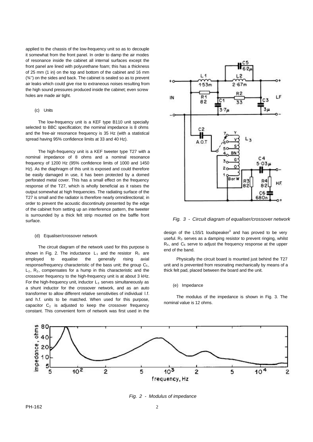applied to the chassis of the low-frequency unit so as to decouple it somewhat from the front panel. In order to damp the air modes of resonance inside the cabinet all internal surfaces except the front panel are lined with polyurethane foam; this has a thickness of 25 mm (1 in) on the top and bottom of the cabinet and 16 mm (¾'') on the sides and back. The cabinet is sealed so as to prevent air leaks which could give rise to extraneous noises resulting from the high sound pressures produced inside the cabinet; even screw holes are made air tight.

#### (c) Units

The low-frequency unit is a KEF type B110 unit specially selected to BBC specification; the nominal impedance is 8 ohms and the free-air resonance frequency is 35 Hz (with a statistical spread having 95% confidence limits at 33 and 40 Hz).

The high-frequency unit is a KEF tweeter type T27 with a nominal impedance of 8 ohms and a nominal resonance frequency of 1200 Hz (95% confidence limits of 1000 and 1450 Hz). As the diaphragm of this unit is exposed and could therefore be easily damaged in use, it has been protected by a domed perforated metal cover. This has a small effect on the frequency response of the T27, which is wholly beneficial as it raises the output somewhat at high frequencies. The radiating surface of the T27 is small and the radiator is therefore nearly omnidirectional; in order to prevent the acoustic discontinuity presented by the edge of the cabinet from setting up an interference pattern, the tweeter is surrounded by a thick felt strip mounted on the baffle front surface.

#### (d) Equaliser/crossover network

The circuit diagram of the network used for this purpose is shown in Fig. 2. The inductance  $L_1$  and the resistor  $R_1$  are employed to equalise the generally rising axial response/frequency characteristic of the bass unit; the group  $C_5$ ,  $L_2$ ,  $R_2$ , compensates for a hump in this characteristic and the crossover frequency to the high-frequency unit is at about 3 kHz. For the high-frequency unit, inductor  $L_3$  serves simultaneously as a shunt inductor for the crossover network, and as an auto transformer to allow different relative sensitivities of individual l.f. and h.f. units to be matched. When used for this purpose, capacitor  $C_2$  is adjusted to keep the crossover frequency constant. This convenient form of network was first used in the



*Fig. 3 - Circuit diagram of equaliser/crossover network*

design of the LS5/1 loudspeaker<sup>3</sup> and has proved to be very useful.  $R<sub>3</sub>$  serves as a damping resistor to prevent ringing, whilst  $R_4$ , and  $C_6$  serve to adjust the frequency response at the upper end of the band.

Physically the circuit board is mounted just behind the T27 unit and is prevented from resonating mechanically by means of a thick felt pad, placed between the board and the unit.

#### (e) Impedance

The modulus of the impedance is shown in Fig. 3. The nominal value is 12 ohms.



*Fig. 2 - Modulus of impedance*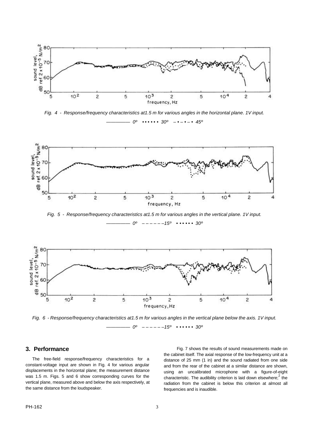

*Fig. 4 - Response/frequency characteristics at1.5 m for various angles in the horizontal plane. 1V input. ————— 0º • • • • • • 30º – • – • – • 45º*



*Fig. 5 - Response/frequency characteristics at1.5 m for various angles in the vertical plane. 1V input.*

*————— 0º – – – – – –15º • • • • • • 30º*



*Fig. 6 - Response/frequency characteristics at1.5 m for various angles in the vertical plane below the axis. 1V input. ————— 0º – – – – – –15º • • • • • • 30º*

#### **3. Performance**

The free-field response/frequency characteristics for a constant-voltage input are shown in Fig. 4 for various angular displacements in the horizontal plane; the measurement distance was 1.5 m. Figs. 5 and 6 show corresponding curves for the vertical plane, measured above and below the axis respectively, at the same distance from the loudspeaker.

Fig. 7 shows the results of sound measurements made on the cabinet itself. The axial response of the low-frequency unit at a distance of 25 mm (1 in) and the sound radiated from one side and from the rear of the cabinet at a similar distance are shown, using an uncalibrated microphone with a figure-of-eight characteristic. The audibility criterion is laid down elsewhere;  $2 \text{ the}$ radiation from the cabinet is below this criterion at almost all frequencies and is inaudible.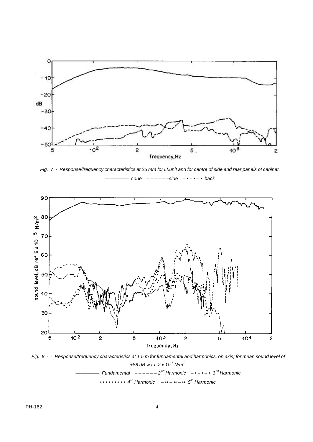

*Fig. 7 - Response/frequency characteristics at 25 mm for l.f.unit and for centre of side and rear panels of cabinet. ————— cone – – – – – –side – • – • – • back*



*Fig. 8 - - Response/frequency characteristics at 1.5 m for fundamental and harmonics, on axis; for mean sound level of +88 dB w.r.t. 2 x 10-5 N/m<sup>2</sup> . ————— Fundamental – – – – – – 2nd Harmonic – • – • – • 3rd Harmonic • • • • • • • • • 4th Harmonic – •• – •• – •• 5th Harmonic*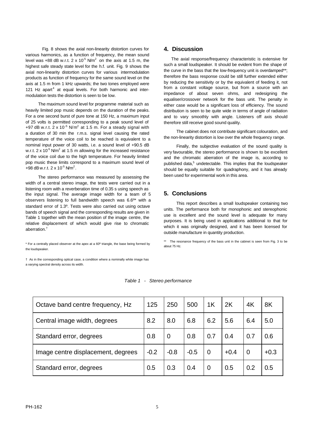Fig. 8 shows the axial non-linearity distortion curves for various harmonics, as a function of frequency, the mean sound level was +88 dB w.r.t. 2 x 10<sup>-5</sup> N/m<sup>2</sup> on the axis at 1.5 m, the highest safe steady state level for the h.f. unit. Fig. 9 shows the axial non-linearity distortion curves for various intermodulation products as function of frequency for the same sound level on the axis at 1.5 m from 1 kHz upwards; the two tones employed were 121 Hz apart<sup>4</sup> at equal levels. For both harmonic and intermodulation tests the distortion is seen to be low.

The maximum sound level for programme material such as heavily limited pop music depends on the duration of the peaks. For a one second burst of pure tone at 150 Hz, a maximum input of 25 volts is permitted corresponding to a peak sound level of +97 dB w.r.t. 2 x 10<sup>-5</sup> N/m<sup>2</sup> at 1.5 m. For a steady signal with a duration of 30 min the r.m.s. signal level causing the rated temperature of the voice coil to be reached is equivalent to a nominal input power of 30 watts, i.e. a sound level of +90.5 dB w.r.t. 2 x 10<sup>-5</sup> N/m<sup>2</sup> at 1.5 m allowing for the increased resistance of the voice coil due to the high temperature. For heavily limited pop music these limits correspond to a maximum sound level of +98 dB w.r.t.  $2 \times 10^{-5}$  N/m<sup>2</sup>.

The stereo performance was measured by assessing the width of a central stereo image, the tests were carried out in a listening room with a reverberation time of 0.35 s using speech as the input signal. The average image width for a team of 5 observers listening to full bandwidth speech was 6.6º\* with a standard error of 1.3º. Tests were also carried out using octave bands of speech signal and the corresponding results are given in Table 1 together with the mean position of the image centre, the relative displacement of which would give rise to chromatic aberration.†

\* For a centrally placed observer at the apex at a 60º triangle, the base being formed by the loudspeaker.

† As in the corresponding optical case, a condition where a nominally white image has a varying spectral density across its width.

### **4. Discussion**

The axial response/frequency characteristic is extensive for such a small loudspeaker. It should be evident from the shape of the curve in the bass that the low-frequency unit is overdamped\*\*; therefore the bass response could be still further extended either by reducing the sensitivity or by the equivalent of feeding it, not from a constant voltage source, but from a source with an impedance of about seven ohms, and redesigning the equaliser/crossover network for the bass unit. The penalty in either case would be a significant loss of efficiency. The sound distribution is seen to be quite wide in terms of angle of radiation and to vary smoothly with angle. Listeners off axis should therefore still receive good sound quality.

The cabinet does not contribute significant colouration, and the non-linearity distortion is low over the whole frequency range.

Finally, the subjective evaluation of the sound quality is very favourable, the stereo performance is shown to be excellent and the chromatic aberration of the image is, according to published data,<sup>5</sup> undetectable. This implies that the loudspeaker should be equally suitable for quadraphony, and it has already been used for experimental work in this area.

### **5. Conclusions**

This report describes a small loudspeaker containing two units. The performance both for monophonic and stereophonic use is excellent and the sound level is adequate for many purposes. It is being used in applications additional to that for which it was originally designed, and it has been licensed for outside manufacture in quantity production.

\*\* The resonance frequency of the bass unit in the cabinet is seen from Fig. 3 to be about 75 Hz.

| Octave band centre frequency, Hz   |  | 250            | 500    | 1K             | 2K     | 4K             | 8K     |
|------------------------------------|--|----------------|--------|----------------|--------|----------------|--------|
| Central image width, degrees       |  | 8.0            | 6.8    | 6.2            | 5.6    | 6.4            | 5.0    |
| Standard error, degrees            |  | $\overline{0}$ | 0.8    | 0.7            | 0.4    | 0.7            | 0.6    |
| Image centre displacement, degrees |  | $-0.8$         | $-0.5$ | $\overline{0}$ | $+0.4$ | $\overline{0}$ | $+0.3$ |
| Standard error, degrees            |  | 0.3            | 0.4    | $\overline{0}$ | 0.5    | 0.2            | 0.5    |

*Table 1 - Stereo performance*